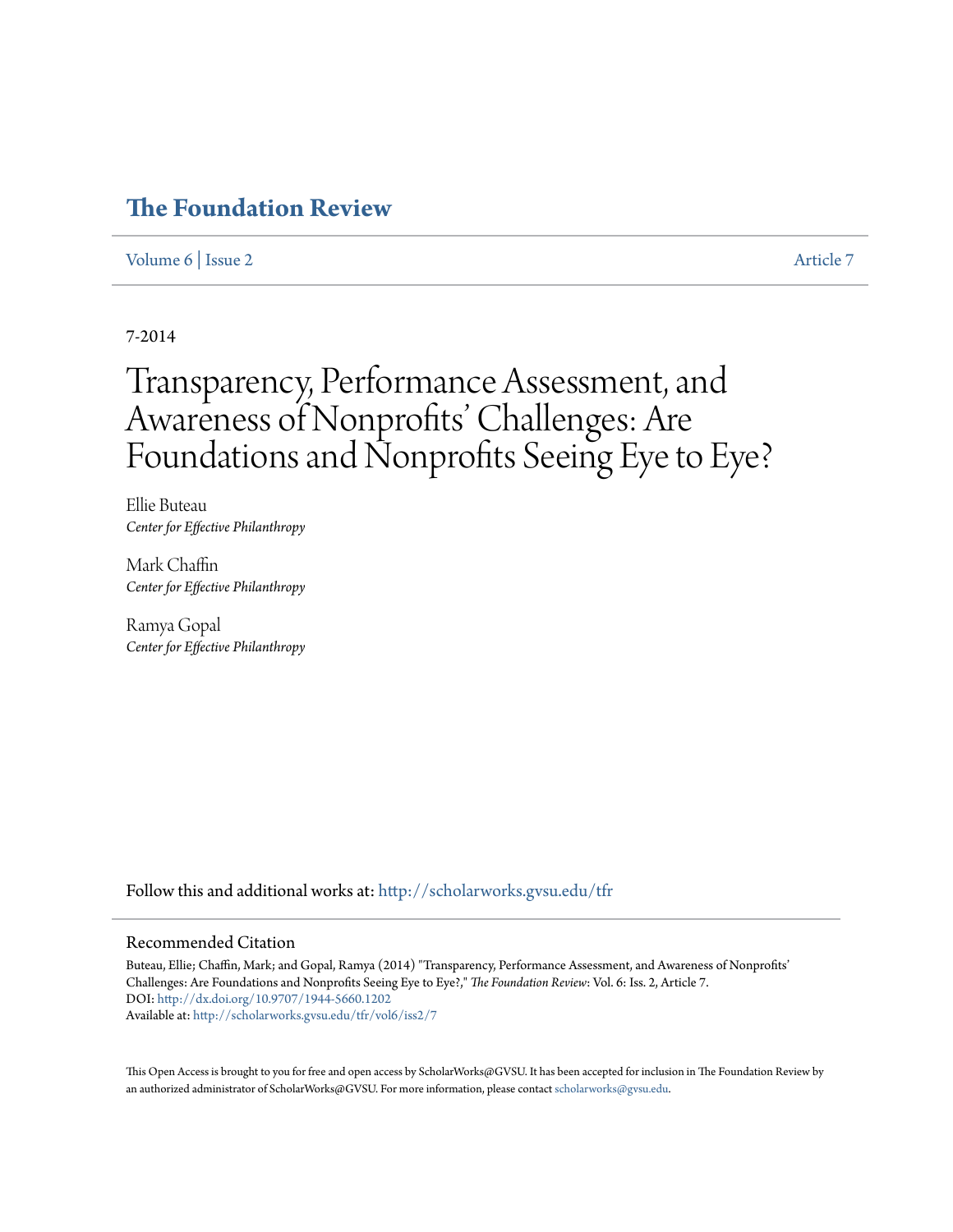# **[The Foundation Review](http://scholarworks.gvsu.edu/tfr?utm_source=scholarworks.gvsu.edu%2Ftfr%2Fvol6%2Fiss2%2F7&utm_medium=PDF&utm_campaign=PDFCoverPages)**

# [Volume 6](http://scholarworks.gvsu.edu/tfr/vol6?utm_source=scholarworks.gvsu.edu%2Ftfr%2Fvol6%2Fiss2%2F7&utm_medium=PDF&utm_campaign=PDFCoverPages) | [Issue 2](http://scholarworks.gvsu.edu/tfr/vol6/iss2?utm_source=scholarworks.gvsu.edu%2Ftfr%2Fvol6%2Fiss2%2F7&utm_medium=PDF&utm_campaign=PDFCoverPages) [Article 7](http://scholarworks.gvsu.edu/tfr/vol6/iss2/7?utm_source=scholarworks.gvsu.edu%2Ftfr%2Fvol6%2Fiss2%2F7&utm_medium=PDF&utm_campaign=PDFCoverPages)

7-2014

# Transparency, Performance Assessment, and Awareness of Nonprofits' Challenges: Are Foundations and Nonprofits Seeing Eye to Eye?

Ellie Buteau *Center for Effective Philanthropy*

Mark Chaffin *Center for Effective Philanthropy*

Ramya Gopal *Center for Effective Philanthropy*

Follow this and additional works at: [http://scholarworks.gvsu.edu/tfr](http://scholarworks.gvsu.edu/tfr?utm_source=scholarworks.gvsu.edu%2Ftfr%2Fvol6%2Fiss2%2F7&utm_medium=PDF&utm_campaign=PDFCoverPages)

#### Recommended Citation

Buteau, Ellie; Chaffin, Mark; and Gopal, Ramya (2014) "Transparency, Performance Assessment, and Awareness of Nonprofits' Challenges: Are Foundations and Nonprofits Seeing Eye to Eye?," *The Foundation Review*: Vol. 6: Iss. 2, Article 7. DOI: <http://dx.doi.org/10.9707/1944-5660.1202> Available at: [http://scholarworks.gvsu.edu/tfr/vol6/iss2/7](http://scholarworks.gvsu.edu/tfr/vol6/iss2/7?utm_source=scholarworks.gvsu.edu%2Ftfr%2Fvol6%2Fiss2%2F7&utm_medium=PDF&utm_campaign=PDFCoverPages)

This Open Access is brought to you for free and open access by ScholarWorks@GVSU. It has been accepted for inclusion in The Foundation Review by an authorized administrator of ScholarWorks@GVSU. For more information, please contact [scholarworks@gvsu.edu.](mailto:scholarworks@gvsu.edu)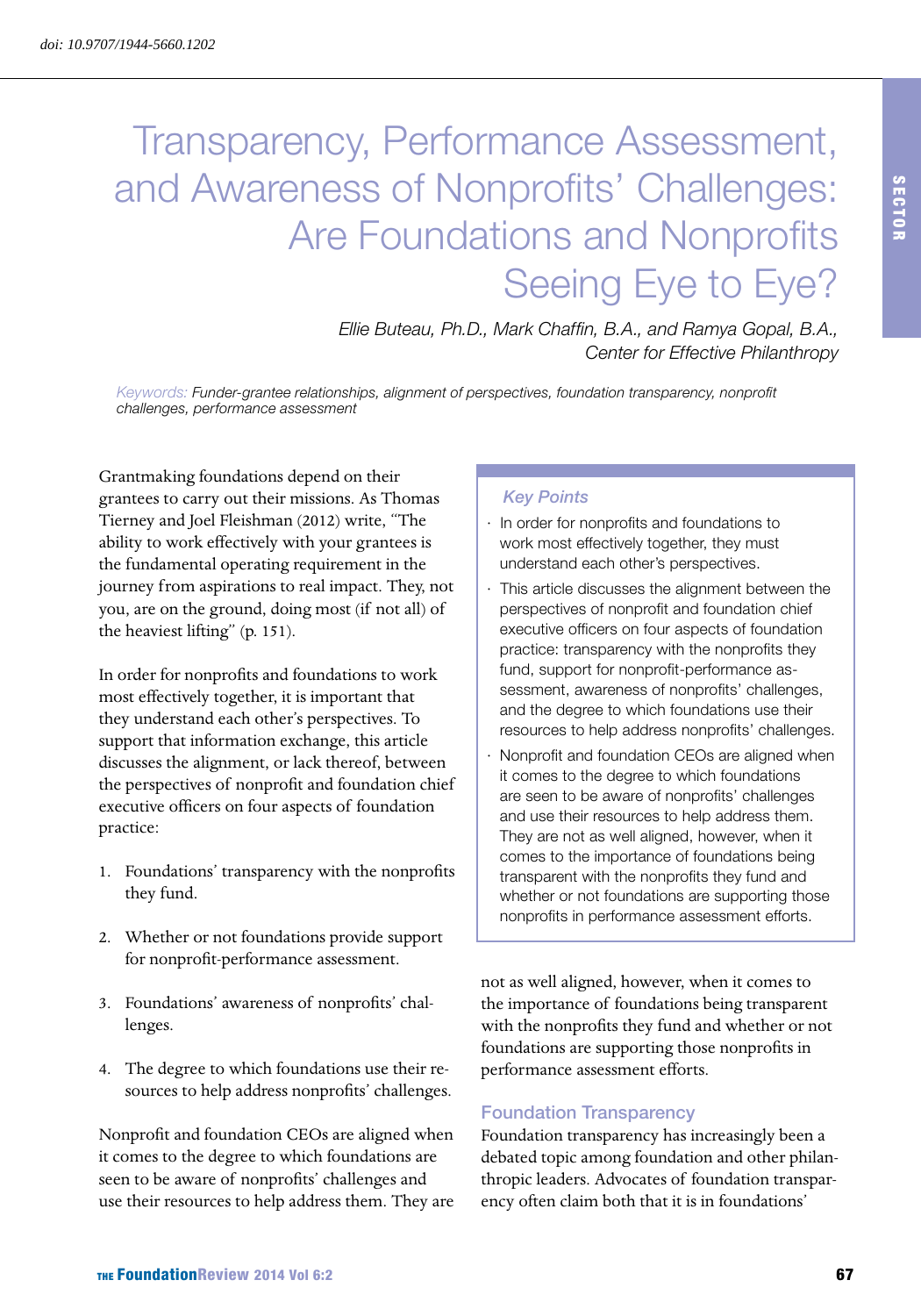# Transparency, Performance Assessment, and Awareness of Nonprofits' Challenges: Are Foundations and Nonprofits Seeing Eye to Eye?

*Ellie Buteau, Ph.D., Mark Chaffin, B.A., and Ramya Gopal, B.A., Center for Effective Philanthropy*

*Keywords: Funder-grantee relationships, alignment of perspectives, foundation transparency, nonprofit challenges, performance assessment*

Grantmaking foundations depend on their grantees to carry out their missions. As Thomas Tierney and Joel Fleishman (2012) write, "The ability to work effectively with your grantees is the fundamental operating requirement in the journey from aspirations to real impact. They, not you, are on the ground, doing most (if not all) of the heaviest lifting" (p. 151).

In order for nonprofits and foundations to work most effectively together, it is important that they understand each other's perspectives. To support that information exchange, this article discusses the alignment, or lack thereof, between the perspectives of nonprofit and foundation chief executive officers on four aspects of foundation practice:

- 1. Foundations' transparency with the nonprofits they fund.
- 2. Whether or not foundations provide support for nonprofit-performance assessment.
- 3. Foundations' awareness of nonprofits' challenges.
- 4. The degree to which foundations use their resources to help address nonprofits' challenges.

Nonprofit and foundation CEOs are aligned when it comes to the degree to which foundations are seen to be aware of nonprofits' challenges and use their resources to help address them. They are

### *Key Points*

- · In order for nonprofits and foundations to work most effectively together, they must understand each other's perspectives.
- · This article discusses the alignment between the perspectives of nonprofit and foundation chief executive officers on four aspects of foundation practice: transparency with the nonprofits they fund, support for nonprofit-performance assessment, awareness of nonprofits' challenges, and the degree to which foundations use their resources to help address nonprofits' challenges.
- Nonprofit and foundation CEOs are aligned when it comes to the degree to which foundations are seen to be aware of nonprofits' challenges and use their resources to help address them. They are not as well aligned, however, when it comes to the importance of foundations being transparent with the nonprofits they fund and whether or not foundations are supporting those nonprofits in performance assessment efforts.

not as well aligned, however, when it comes to the importance of foundations being transparent with the nonprofits they fund and whether or not foundations are supporting those nonprofits in performance assessment efforts.

#### Foundation Transparency

Foundation transparency has increasingly been a debated topic among foundation and other philanthropic leaders. Advocates of foundation transparency often claim both that it is in foundations'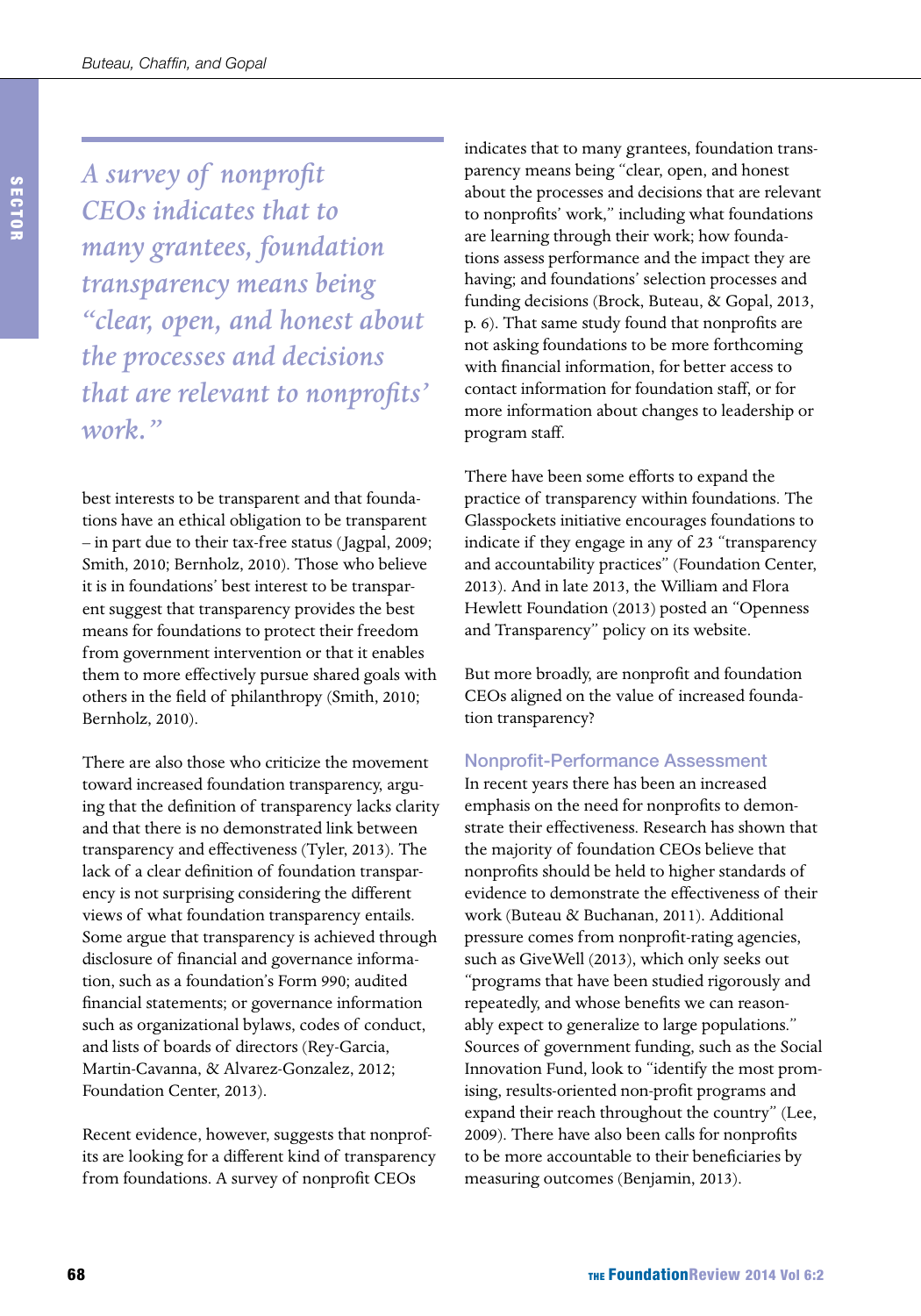*A survey of nonprofit CEOs indicates that to many grantees, foundation transparency means being "clear, open, and honest about the processes and decisions that are relevant to nonprofits' work."* 

best interests to be transparent and that foundations have an ethical obligation to be transparent – in part due to their tax-free status (Jagpal, 2009; Smith, 2010; Bernholz, 2010). Those who believe it is in foundations' best interest to be transparent suggest that transparency provides the best means for foundations to protect their freedom from government intervention or that it enables them to more effectively pursue shared goals with others in the field of philanthropy (Smith, 2010; Bernholz, 2010).

There are also those who criticize the movement toward increased foundation transparency, arguing that the definition of transparency lacks clarity and that there is no demonstrated link between transparency and effectiveness (Tyler, 2013). The lack of a clear definition of foundation transparency is not surprising considering the different views of what foundation transparency entails. Some argue that transparency is achieved through disclosure of financial and governance information, such as a foundation's Form 990; audited financial statements; or governance information such as organizational bylaws, codes of conduct, and lists of boards of directors (Rey-Garcia, Martin-Cavanna, & Alvarez-Gonzalez, 2012; Foundation Center, 2013).

Recent evidence, however, suggests that nonprofits are looking for a different kind of transparency from foundations. A survey of nonprofit CEOs

indicates that to many grantees, foundation transparency means being "clear, open, and honest about the processes and decisions that are relevant to nonprofits' work," including what foundations are learning through their work; how foundations assess performance and the impact they are having; and foundations' selection processes and funding decisions (Brock, Buteau, & Gopal, 2013, p. 6). That same study found that nonprofits are not asking foundations to be more forthcoming with financial information, for better access to contact information for foundation staff, or for more information about changes to leadership or program staff.

There have been some efforts to expand the practice of transparency within foundations. The Glasspockets initiative encourages foundations to indicate if they engage in any of 23 "transparency and accountability practices" (Foundation Center, 2013). And in late 2013, the William and Flora Hewlett Foundation (2013) posted an "Openness and Transparency" policy on its website.

But more broadly, are nonprofit and foundation CEOs aligned on the value of increased foundation transparency?

#### Nonprofit-Performance Assessment

In recent years there has been an increased emphasis on the need for nonprofits to demonstrate their effectiveness. Research has shown that the majority of foundation CEOs believe that nonprofits should be held to higher standards of evidence to demonstrate the effectiveness of their work (Buteau & Buchanan, 2011). Additional pressure comes from nonprofit-rating agencies, such as GiveWell (2013), which only seeks out "programs that have been studied rigorously and repeatedly, and whose benefits we can reasonably expect to generalize to large populations." Sources of government funding, such as the Social Innovation Fund, look to "identify the most promising, results-oriented non-profit programs and expand their reach throughout the country" (Lee, 2009). There have also been calls for nonprofits to be more accountable to their beneficiaries by measuring outcomes (Benjamin, 2013).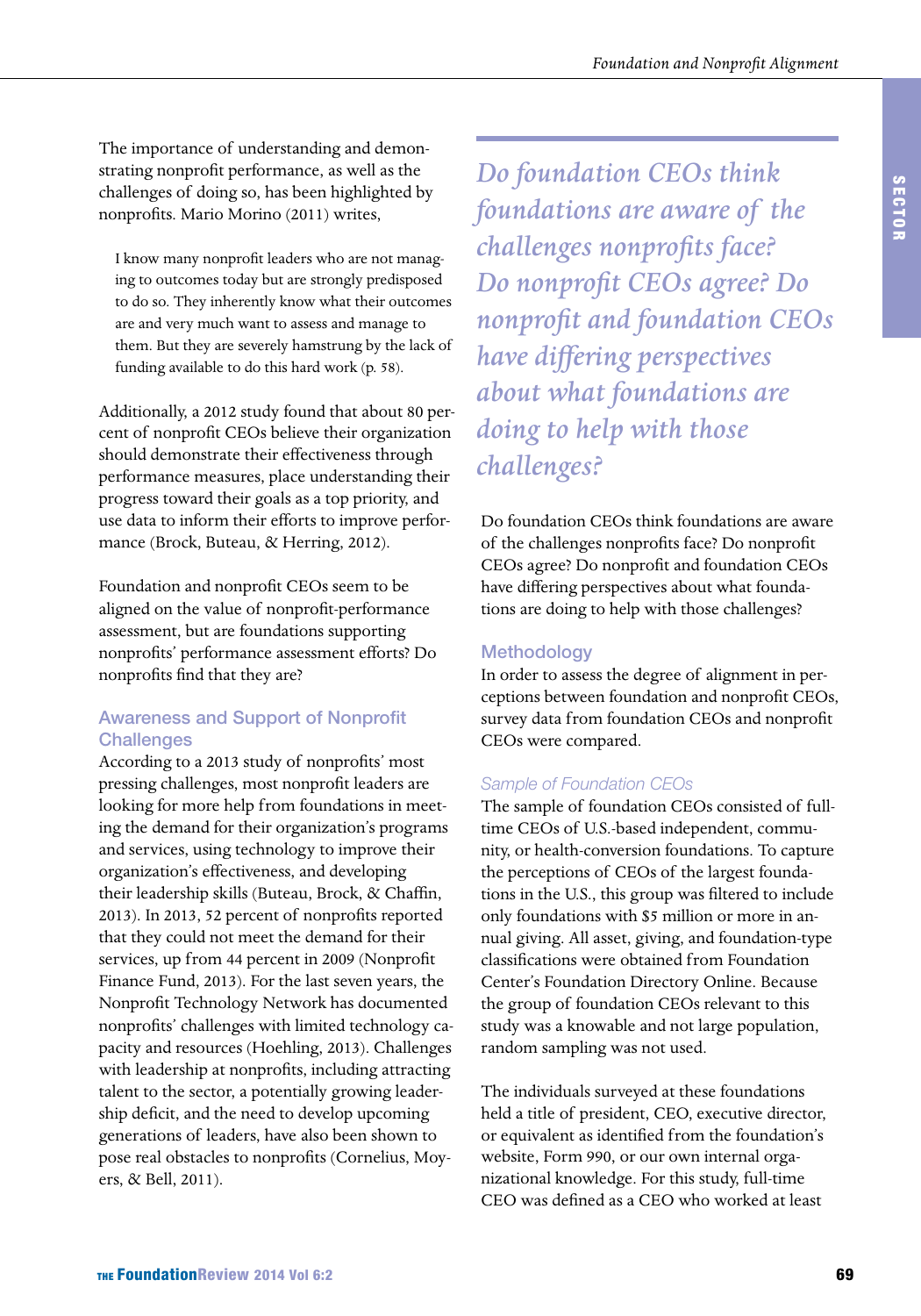The importance of understanding and demonstrating nonprofit performance, as well as the challenges of doing so, has been highlighted by nonprofits. Mario Morino (2011) writes,

I know many nonprofit leaders who are not managing to outcomes today but are strongly predisposed to do so. They inherently know what their outcomes are and very much want to assess and manage to them. But they are severely hamstrung by the lack of funding available to do this hard work (p. 58).

Additionally, a 2012 study found that about 80 percent of nonprofit CEOs believe their organization should demonstrate their effectiveness through performance measures, place understanding their progress toward their goals as a top priority, and use data to inform their efforts to improve performance (Brock, Buteau, & Herring, 2012).

Foundation and nonprofit CEOs seem to be aligned on the value of nonprofit-performance assessment, but are foundations supporting nonprofits' performance assessment efforts? Do nonprofits find that they are?

# Awareness and Support of Nonprofit **Challenges**

According to a 2013 study of nonprofits' most pressing challenges, most nonprofit leaders are looking for more help from foundations in meeting the demand for their organization's programs and services, using technology to improve their organization's effectiveness, and developing their leadership skills (Buteau, Brock, & Chaffin, 2013). In 2013, 52 percent of nonprofits reported that they could not meet the demand for their services, up from 44 percent in 2009 (Nonprofit Finance Fund, 2013). For the last seven years, the Nonprofit Technology Network has documented nonprofits' challenges with limited technology capacity and resources (Hoehling, 2013). Challenges with leadership at nonprofits, including attracting talent to the sector, a potentially growing leadership deficit, and the need to develop upcoming generations of leaders, have also been shown to pose real obstacles to nonprofits (Cornelius, Moyers, & Bell, 2011).

*Do foundation CEOs think foundations are aware of the challenges nonprofits face? Do nonprofit CEOs agree? Do nonprofit and foundation CEOs have differing perspectives about what foundations are doing to help with those challenges?*

Do foundation CEOs think foundations are aware of the challenges nonprofits face? Do nonprofit CEOs agree? Do nonprofit and foundation CEOs have differing perspectives about what foundations are doing to help with those challenges?

# Methodology

In order to assess the degree of alignment in perceptions between foundation and nonprofit CEOs, survey data from foundation CEOs and nonprofit CEOs were compared.

# *Sample of Foundation CEOs*

The sample of foundation CEOs consisted of fulltime CEOs of U.S.-based independent, community, or health-conversion foundations. To capture the perceptions of CEOs of the largest foundations in the U.S., this group was filtered to include only foundations with \$5 million or more in annual giving. All asset, giving, and foundation-type classifications were obtained from Foundation Center's Foundation Directory Online. Because the group of foundation CEOs relevant to this study was a knowable and not large population, random sampling was not used.

The individuals surveyed at these foundations held a title of president, CEO, executive director, or equivalent as identified from the foundation's website, Form 990, or our own internal organizational knowledge. For this study, full-time CEO was defined as a CEO who worked at least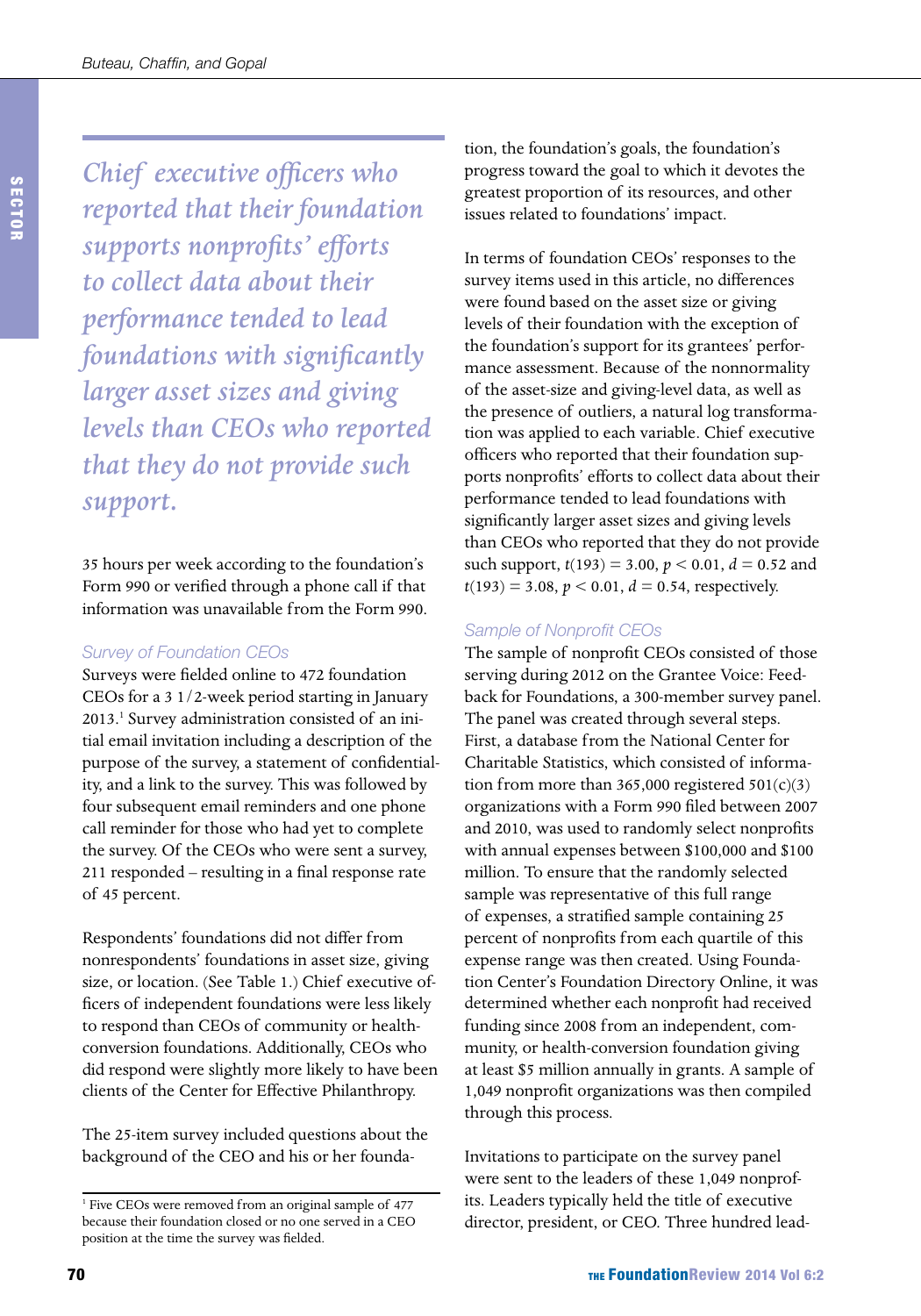*Chief executive officers who reported that their foundation supports nonprofits' efforts to collect data about their performance tended to lead foundations with significantly larger asset sizes and giving levels than CEOs who reported that they do not provide such support.*

35 hours per week according to the foundation's Form 990 or verified through a phone call if that information was unavailable from the Form 990.

#### *Survey of Foundation CEOs*

Surveys were fielded online to 472 foundation CEOs for a 3 1/2-week period starting in January 2013.<sup>1</sup> Survey administration consisted of an initial email invitation including a description of the purpose of the survey, a statement of confidentiality, and a link to the survey. This was followed by four subsequent email reminders and one phone call reminder for those who had yet to complete the survey. Of the CEOs who were sent a survey, 211 responded – resulting in a final response rate of 45 percent.

Respondents' foundations did not differ from nonrespondents' foundations in asset size, giving size, or location. (See Table 1.) Chief executive officers of independent foundations were less likely to respond than CEOs of community or healthconversion foundations. Additionally, CEOs who did respond were slightly more likely to have been clients of the Center for Effective Philanthropy.

The 25-item survey included questions about the background of the CEO and his or her founda-

tion, the foundation's goals, the foundation's progress toward the goal to which it devotes the greatest proportion of its resources, and other issues related to foundations' impact.

In terms of foundation CEOs' responses to the survey items used in this article, no differences were found based on the asset size or giving levels of their foundation with the exception of the foundation's support for its grantees' performance assessment. Because of the nonnormality of the asset-size and giving-level data, as well as the presence of outliers, a natural log transformation was applied to each variable. Chief executive officers who reported that their foundation supports nonprofits' efforts to collect data about their performance tended to lead foundations with significantly larger asset sizes and giving levels than CEOs who reported that they do not provide such support,  $t(193) = 3.00$ ,  $p < 0.01$ ,  $d = 0.52$  and  $t(193) = 3.08, p < 0.01, d = 0.54$ , respectively.

### *Sample of Nonprofit CEOs*

The sample of nonprofit CEOs consisted of those serving during 2012 on the Grantee Voice: Feedback for Foundations, a 300-member survey panel. The panel was created through several steps. First, a database from the National Center for Charitable Statistics, which consisted of information from more than 365,000 registered  $501(c)(3)$ organizations with a Form 990 filed between 2007 and 2010, was used to randomly select nonprofits with annual expenses between \$100,000 and \$100 million. To ensure that the randomly selected sample was representative of this full range of expenses, a stratified sample containing 25 percent of nonprofits from each quartile of this expense range was then created. Using Foundation Center's Foundation Directory Online, it was determined whether each nonprofit had received funding since 2008 from an independent, community, or health-conversion foundation giving at least \$5 million annually in grants. A sample of 1,049 nonprofit organizations was then compiled through this process.

Invitations to participate on the survey panel were sent to the leaders of these 1,049 nonprofits. Leaders typically held the title of executive director, president, or CEO. Three hundred lead-

<sup>&</sup>lt;sup>1</sup> Five CEOs were removed from an original sample of 477 because their foundation closed or no one served in a CEO position at the time the survey was fielded.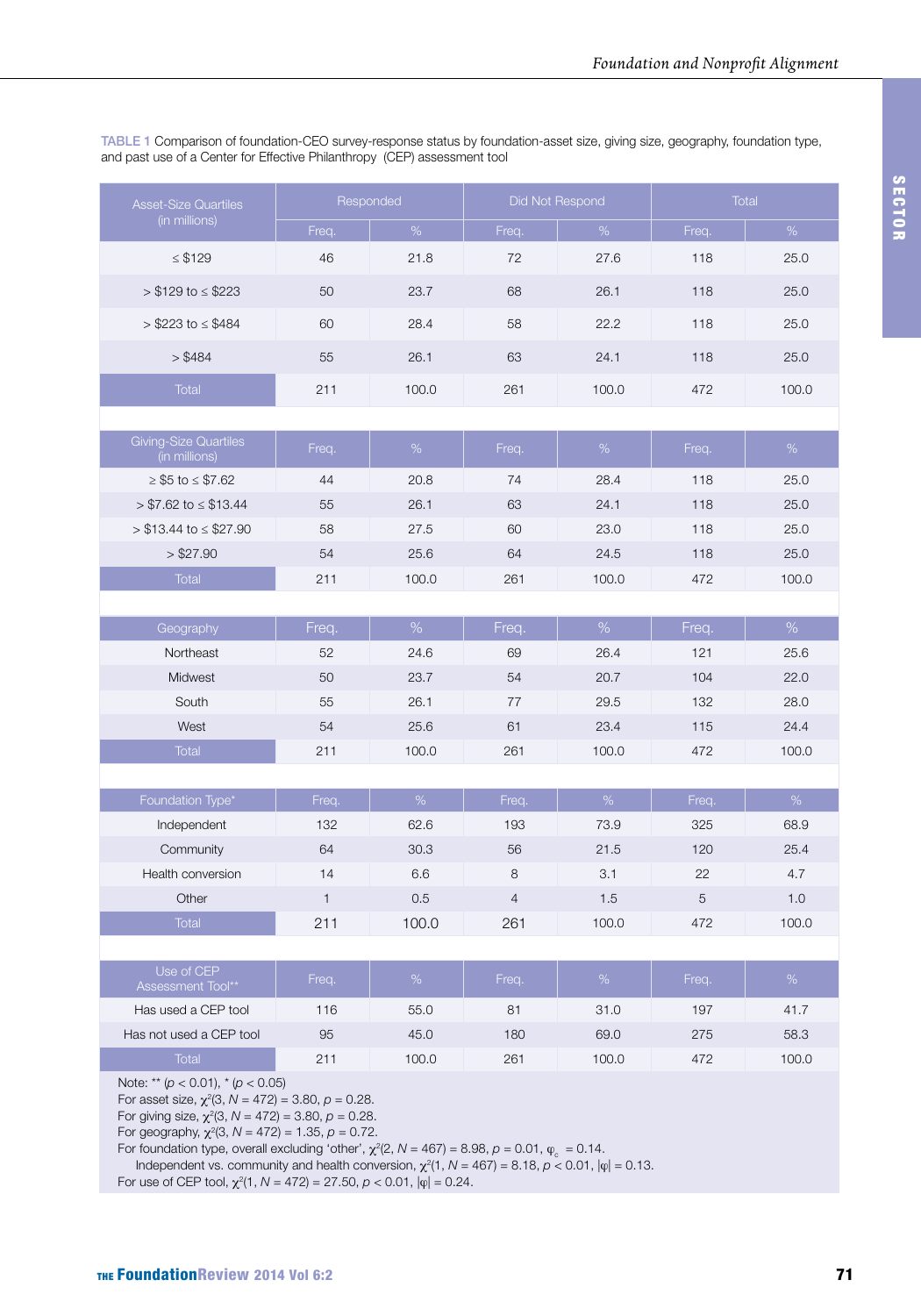TABLE 1 Comparison of foundation-CEO survey-response status by foundation-asset size, giving size, geography, foundation type, and past use of a Center for Effective Philanthropy (CEP) assessment tool

| <b>Asset-Size Quartiles</b>                                                                       |              | Responded     |                | Did Not Respond | Total |       |  |  |
|---------------------------------------------------------------------------------------------------|--------------|---------------|----------------|-----------------|-------|-------|--|--|
| (in millions)                                                                                     | Freq.        | $\%$          | Freq.          | $\%$            | Freq. | $\%$  |  |  |
| $\leq$ \$129                                                                                      | 46           | 21.8          | 72             | 27.6            | 118   | 25.0  |  |  |
| $> $129$ to $\le$ \$223                                                                           | 50           | 23.7          | 68             | 26.1            | 118   | 25.0  |  |  |
| $> $223$ to $\leq $484$                                                                           | 60           | 28.4          | 58             | 22.2            | 118   | 25.0  |  |  |
| > \$484                                                                                           | 55           | 26.1          | 63             | 24.1            | 118   | 25.0  |  |  |
| <b>Total</b>                                                                                      | 211          | 100.0         | 261            | 100.0           | 472   | 100.0 |  |  |
|                                                                                                   |              |               |                |                 |       |       |  |  |
| <b>Giving-Size Quartiles</b><br>(in millions)                                                     | Freq.        | %             | Freq.          | %               | Freq. | %     |  |  |
| $≥$ \$5 to $≤$ \$7.62                                                                             | 44           | 20.8          | 74             | 28.4            | 118   | 25.0  |  |  |
| $> $7.62$ to $\leq $13.44$                                                                        | 55           | 26.1          | 63             | 24.1            | 118   | 25.0  |  |  |
| $> $13.44$ to $\leq $27.90$                                                                       | 58           | 27.5          | 60             | 23.0            | 118   | 25.0  |  |  |
| > \$27.90                                                                                         | 54           | 25.6          | 64             | 24.5            | 118   | 25.0  |  |  |
| <b>Total</b>                                                                                      | 211          | 100.0         | 261            | 100.0           | 472   | 100.0 |  |  |
|                                                                                                   |              |               |                |                 |       |       |  |  |
| Geography                                                                                         | Freq.        | $\%$          | Freq.          | %               | Freq. | $\%$  |  |  |
| Northeast                                                                                         | 52           | 24.6          | 69             | 26.4            | 121   | 25.6  |  |  |
| Midwest                                                                                           | 50           | 23.7          | 54             | 20.7            | 104   | 22.0  |  |  |
| South                                                                                             | 55           | 26.1          | 77             | 29.5            | 132   | 28.0  |  |  |
| West                                                                                              | 54           | 25.6          | 61             | 23.4            | 115   | 24.4  |  |  |
| <b>Total</b>                                                                                      | 211          | 100.0         | 261            | 100.0           | 472   | 100.0 |  |  |
|                                                                                                   |              |               |                |                 |       |       |  |  |
| Foundation Type*                                                                                  | Freq.        | $\frac{9}{6}$ | Freq.          | %               | Freq. | %     |  |  |
| Independent                                                                                       | 132          | 62.6          | 193            | 73.9            | 325   | 68.9  |  |  |
| Community                                                                                         | 64           | 30.3          | 56             | 21.5            | 120   | 25.4  |  |  |
| Health conversion                                                                                 | 14           | 6.6           | 8              | 3.1             | 22    | 4.7   |  |  |
| Other                                                                                             | $\mathbf{1}$ | 0.5           | $\overline{4}$ | 1.5             | 5     | 1.0   |  |  |
| <b>Total</b>                                                                                      | 211          | 100.0         | 261            | 100.0           | 472   | 100.0 |  |  |
|                                                                                                   |              |               |                |                 |       |       |  |  |
| Use of CEP<br>Assessment Tool**                                                                   | Freq.        | %             | Freq.          | %               | Freq. | %     |  |  |
| Has used a CEP tool                                                                               | 116          | 55.0          | 81             | 31.0            | 197   | 41.7  |  |  |
| Has not used a CEP tool                                                                           | 95           | 45.0          | 180            | 69.0            | 275   | 58.3  |  |  |
| <b>Total</b>                                                                                      | 211          | 100.0         | 261            | 100.0           | 472   | 100.0 |  |  |
| Note: ** $(p < 0.01)$ , * $(p < 0.05)$<br>For asset size, $\chi^2(3, N = 472) = 3.80, p = 0.28$ . |              |               |                |                 |       |       |  |  |

For giving size,  $\chi^2(3, N = 472) = 3.80, p = 0.28$ .

For geography,  $\chi^2(3, N = 472) = 1.35, p = 0.72$ .

For foundation type, overall excluding 'other',  $\chi^2$ (2, N = 467) = 8.98,  $\rho$  = 0.01,  $\phi_{\rm c}^{}$  = 0.14.

Independent vs. community and health conversion,  $\chi^2(1, N = 467) = 8.18$ ,  $p < 0.01$ ,  $|\varphi| = 0.13$ . For use of CEP tool,  $\chi^2(1, N = 472) = 27.50, p < 0.01, |\varphi| = 0.24$ .

SECTOR

SECTOR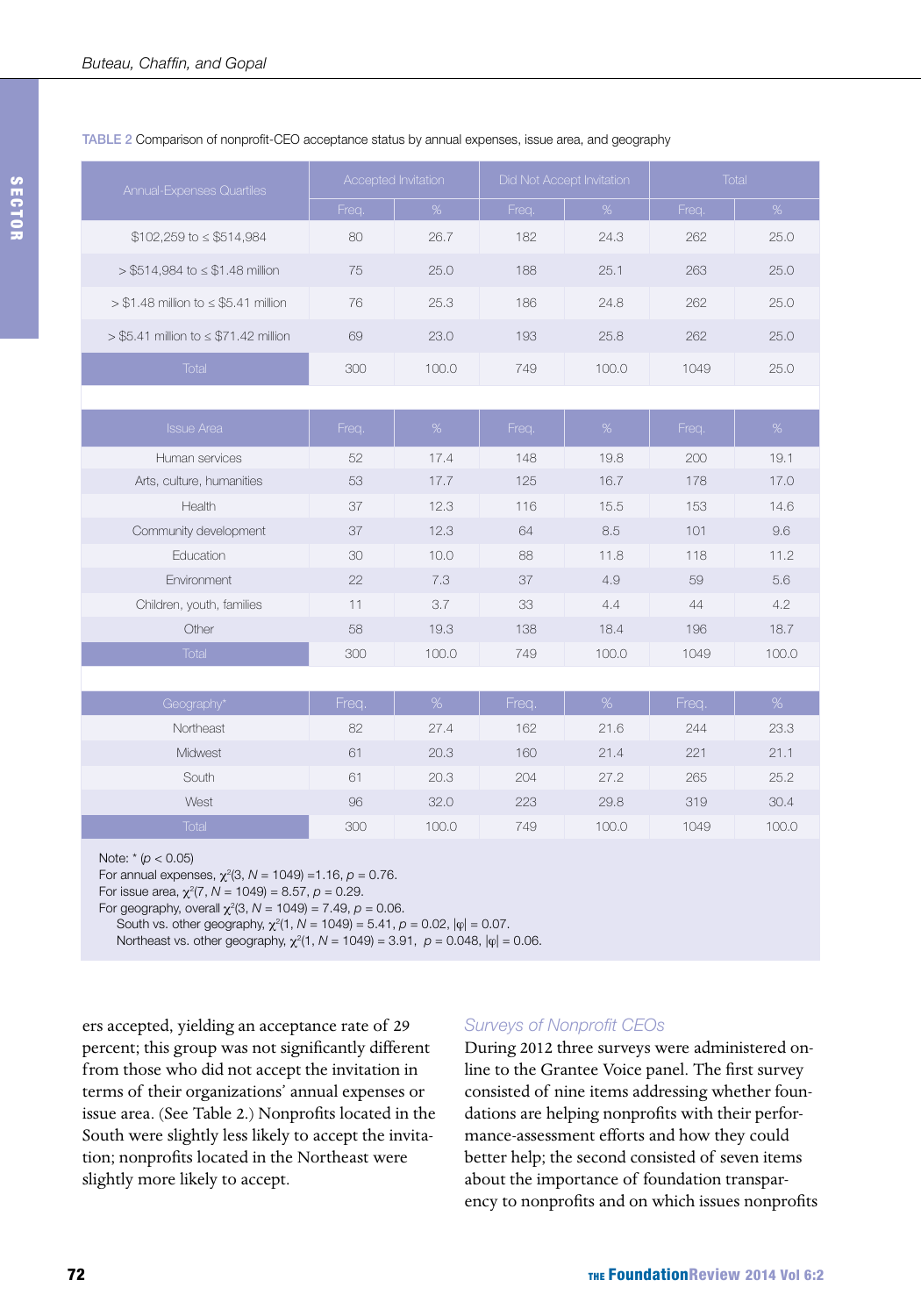#### TABLE 2 Comparison of nonprofit-CEO acceptance status by annual expenses, issue area, and geography

| Annual-Expenses Quartiles                    |       | Accepted Invitation | Did Not Accept Invitation |       | <b>Total</b> |       |
|----------------------------------------------|-------|---------------------|---------------------------|-------|--------------|-------|
|                                              | Freq. | %                   | Freq.                     | %     | Freq.        | %     |
| $$102,259$ to $\leq$ \$514,984               | 80    | 26.7                | 182                       | 24.3  | 262          | 25.0  |
| $> $514,984$ to $\leq $1.48$ million         | 75    | 25.0                | 188                       | 25.1  | 263          | 25.0  |
| $> $1.48$ million to $\leq $5.41$ million    | 76    | 25.3                | 186                       | 24.8  | 262          | 25.0  |
| $>$ \$5.41 million to $\leq$ \$71.42 million | 69    | 23.0                | 193                       | 25.8  | 262          | 25.0  |
| Total                                        | 300   | 100.0               | 749                       | 100.0 | 1049         | 25.0  |
|                                              |       |                     |                           |       |              |       |
| <b>Issue Area</b>                            | Freq. | %                   | Freq.                     | %     | Freq.        | %     |
| Human services                               | 52    | 17.4                | 148                       | 19.8  | 200          | 19.1  |
| Arts, culture, humanities                    | 53    | 17.7                | 125                       | 16.7  | 178          | 17.0  |
| Health                                       | 37    | 12.3                | 116                       | 15.5  | 153          | 14.6  |
| Community development                        | 37    | 12.3                | 64                        | 8.5   | 101          | 9.6   |
| Education                                    | 30    | 10.0                | 88                        | 11.8  | 118          | 11.2  |
| Environment                                  | 22    | 7.3                 | 37                        | 4.9   | 59           | 5.6   |
| Children, youth, families                    | 11    | 3.7                 | 33                        | 4.4   | 44           | 4.2   |
| Other                                        | 58    | 19.3                | 138                       | 18.4  | 196          | 18.7  |
| <b>Total</b>                                 | 300   | 100.0               | 749                       | 100.0 | 1049         | 100.0 |
|                                              |       |                     |                           |       |              |       |
| Geography*                                   | Freq. | %                   | Freq.                     | %     | Freq.        | $\%$  |
| Northeast                                    | 82    | 27.4                | 162                       | 21.6  | 244          | 23.3  |
| Midwest                                      | 61    | 20.3                | 160                       | 21.4  | 221          | 21.1  |
| South                                        | 61    | 20.3                | 204                       | 27.2  | 265          | 25.2  |
| West                                         | 96    | 32.0                | 223                       | 29.8  | 319          | 30.4  |
| <b>Total</b>                                 | 300   | 100.0               | 749                       | 100.0 | 1049         | 100.0 |
|                                              |       |                     |                           |       |              |       |

Note: \* (*p* < 0.05)

For annual expenses, χ<sup>2</sup> (3, *N* = 1049) =1.16, *p* = 0.76.

For issue area, χ<sup>2</sup> (7, *N* = 1049) = 8.57, *p* = 0.29.

For geography, overall  $χ²(3, N = 1049) = 7.49, p = 0.06$ . South vs. other geography,  $\chi^2(1, N = 1049) = 5.41$ ,  $\rho = 0.02$ ,  $|\varphi| = 0.07$ .

Northeast vs. other geography,  $\chi^2(1, N = 1049) = 3.91$ ,  $\rho = 0.048$ ,  $|\varphi| = 0.06$ .

ers accepted, yielding an acceptance rate of 29 percent; this group was not significantly different from those who did not accept the invitation in terms of their organizations' annual expenses or issue area. (See Table 2.) Nonprofits located in the South were slightly less likely to accept the invitation; nonprofits located in the Northeast were slightly more likely to accept.

#### *Surveys of Nonprofit CEOs*

During 2012 three surveys were administered online to the Grantee Voice panel. The first survey consisted of nine items addressing whether foundations are helping nonprofits with their performance-assessment efforts and how they could better help; the second consisted of seven items about the importance of foundation transparency to nonprofits and on which issues nonprofits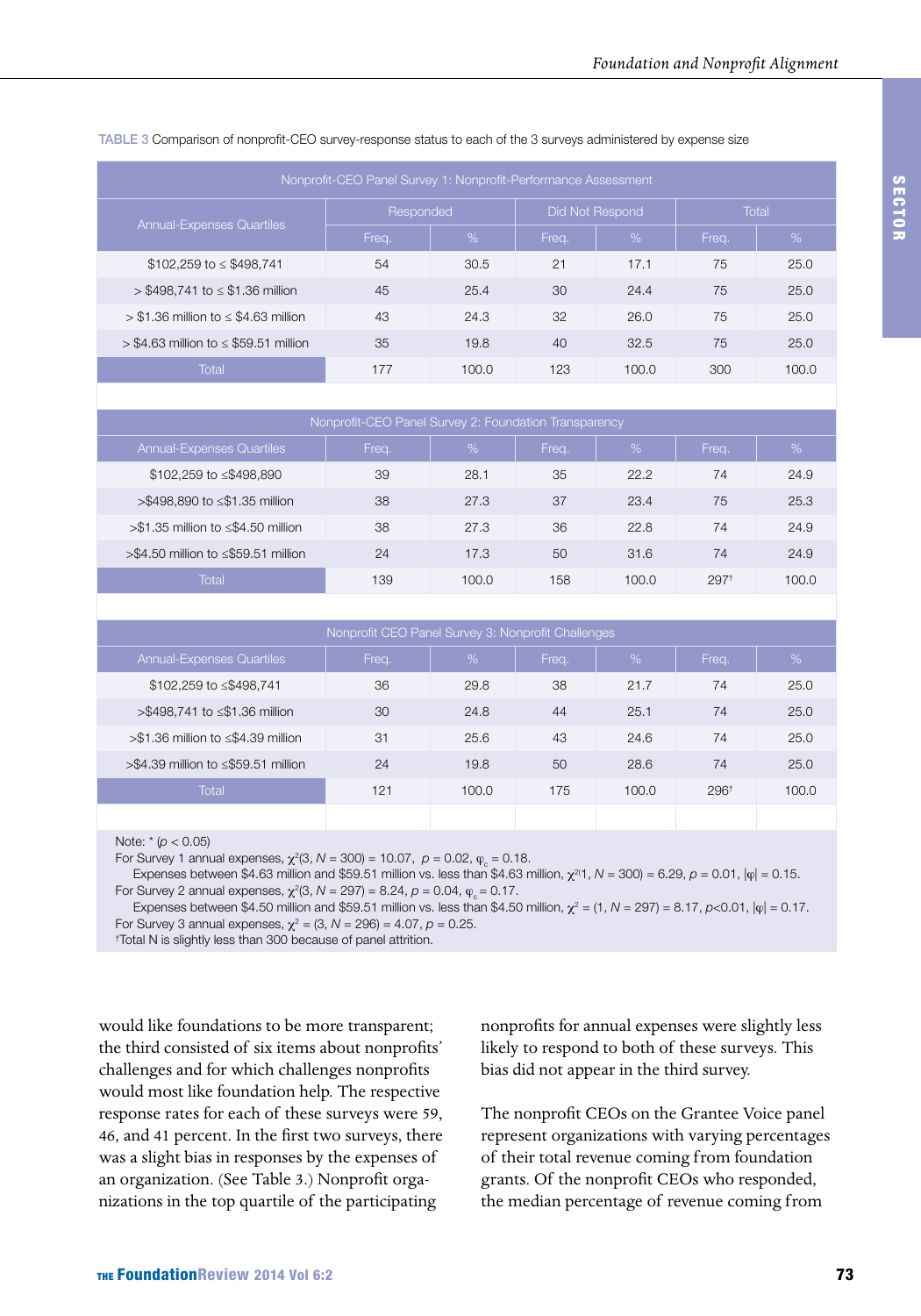| Nonprofit-CEO Panel Survey 1: Nonprofit-Performance Assessment |           |       |       |                 |       |               |  |  |  |  |
|----------------------------------------------------------------|-----------|-------|-------|-----------------|-------|---------------|--|--|--|--|
| <b>Annual-Expenses Quartiles</b>                               | Responded |       |       | Did Not Respond | Total |               |  |  |  |  |
|                                                                | Freq.     | %     | Freq. | %               | Freq. | $\frac{9}{6}$ |  |  |  |  |
| $$102,259$ to $\leq$ \$498,741                                 | 54        | 30.5  | 21    | 17.1            | 75    | 25.0          |  |  |  |  |
| $>$ \$498,741 to $\le$ \$1.36 million                          | 45        | 25.4  | 30    | 24.4            | 75    | 25.0          |  |  |  |  |
| $> $1.36$ million to $\leq $4.63$ million                      | 43        | 24.3  | 32    | 26.0            | 75    | 25.0          |  |  |  |  |
| $>$ \$4.63 million to $\le$ \$59.51 million                    | 35        | 19.8  | 40    | 32.5            | 75    | 25.0          |  |  |  |  |
| Total                                                          | 177       | 100.0 | 123   | 100.0           | 300   | 100.0         |  |  |  |  |

#### TABLE 3 Comparison of nonprofit-CEO survey-response status to each of the 3 surveys administered by expense size

| Nonprofit-CEO Panel Survey 2: Foundation Transparency |       |         |       |       |                  |       |  |  |  |  |
|-------------------------------------------------------|-------|---------|-------|-------|------------------|-------|--|--|--|--|
| <b>Annual-Expenses Quartiles</b>                      | Freq. | %       | Frea. | %     | Freq.            | %     |  |  |  |  |
| \$102,259 to ≤\$498,890                               | 39    | 28.1    | 35    | 22.2  | 74               | 24.9  |  |  |  |  |
| >\$498,890 to ≤\$1.35 million                         | 38    | 27.3    | 37    | 23.4  | 75               | 25.3  |  |  |  |  |
| $> $1.35$ million to $\leq $4.50$ million             | 38    | 27.3    | 36    | 22.8  | 74               | 24.9  |  |  |  |  |
| $>\$4.50$ million to $\leq$ \$59.51 million           | 24    | 17.3    | 50    | 31.6  | 74               | 24.9  |  |  |  |  |
| Total                                                 | 139   | 100 $O$ | 158   | 100.0 | 297 <sup>†</sup> | 100.0 |  |  |  |  |

| Nonprofit CEO Panel Survey 3: Nonprofit Challenges |       |       |       |       |                 |       |  |  |  |
|----------------------------------------------------|-------|-------|-------|-------|-----------------|-------|--|--|--|
| <b>Annual-Expenses Quartiles</b>                   | Freq. | %     | Freq. | $\%$  | Freq.           | %     |  |  |  |
| \$102,259 to ≤\$498,741                            | 36    | 29.8  | 38    | 21.7  | 74              | 25.0  |  |  |  |
| >\$498,741 to ≤\$1.36 million                      | 30    | 24.8  | 44    | 25.1  | 74              | 25.0  |  |  |  |
| >\$1.36 million to ≤\$4.39 million                 | 31    | 25.6  | 43    | 24.6  | 74              | 25.0  |  |  |  |
| $> $4.39$ million to $\leq $59.51$ million         | 24    | 19.8  | 50    | 28.6  | 74              | 25.0  |  |  |  |
| <b>Total</b>                                       | 121   | 100.0 | 175   | 100.0 | $296^{\dagger}$ | 100.0 |  |  |  |
|                                                    |       |       |       |       |                 |       |  |  |  |

Note: \* (*p* < 0.05)

For Survey 1 annual expenses,  $\chi^2(3, N = 300) = 10.07$ ,  $p = 0.02$ ,  $\phi_c = 0.18$ .

Expenses between \$4.63 million and \$59.51 million vs. less than \$4.63 million,  $χ^{2/1}$ , *N* = 300) = 6.29, *p* = 0.01,  $|φ|$  = 0.15. For Survey 2 annual expenses,  $\chi^2(3, N = 297) = 8.24$ ,  $ρ = 0.04$ ,  $φ_c = 0.17$ .

Expenses between \$4.50 million and \$59.51 million vs. less than \$4.50 million,  $\chi^2 = (1, N = 297) = 8.17$ ,  $\rho < 0.01$ ,  $|\varphi| = 0.17$ . For Survey 3 annual expenses,  $\chi^2 = (3, N = 296) = 4.07$ ,  $\rho = 0.25$ .

† Total N is slightly less than 300 because of panel attrition.

would like foundations to be more transparent; the third consisted of six items about nonprofits' challenges and for which challenges nonprofits would most like foundation help. The respective response rates for each of these surveys were 59, 46, and 41 percent. In the first two surveys, there was a slight bias in responses by the expenses of an organization. (See Table 3.) Nonprofit organizations in the top quartile of the participating

nonprofits for annual expenses were slightly less likely to respond to both of these surveys. This bias did not appear in the third survey.

The nonprofit CEOs on the Grantee Voice panel represent organizations with varying percentages of their total revenue coming from foundation grants. Of the nonprofit CEOs who responded, the median percentage of revenue coming from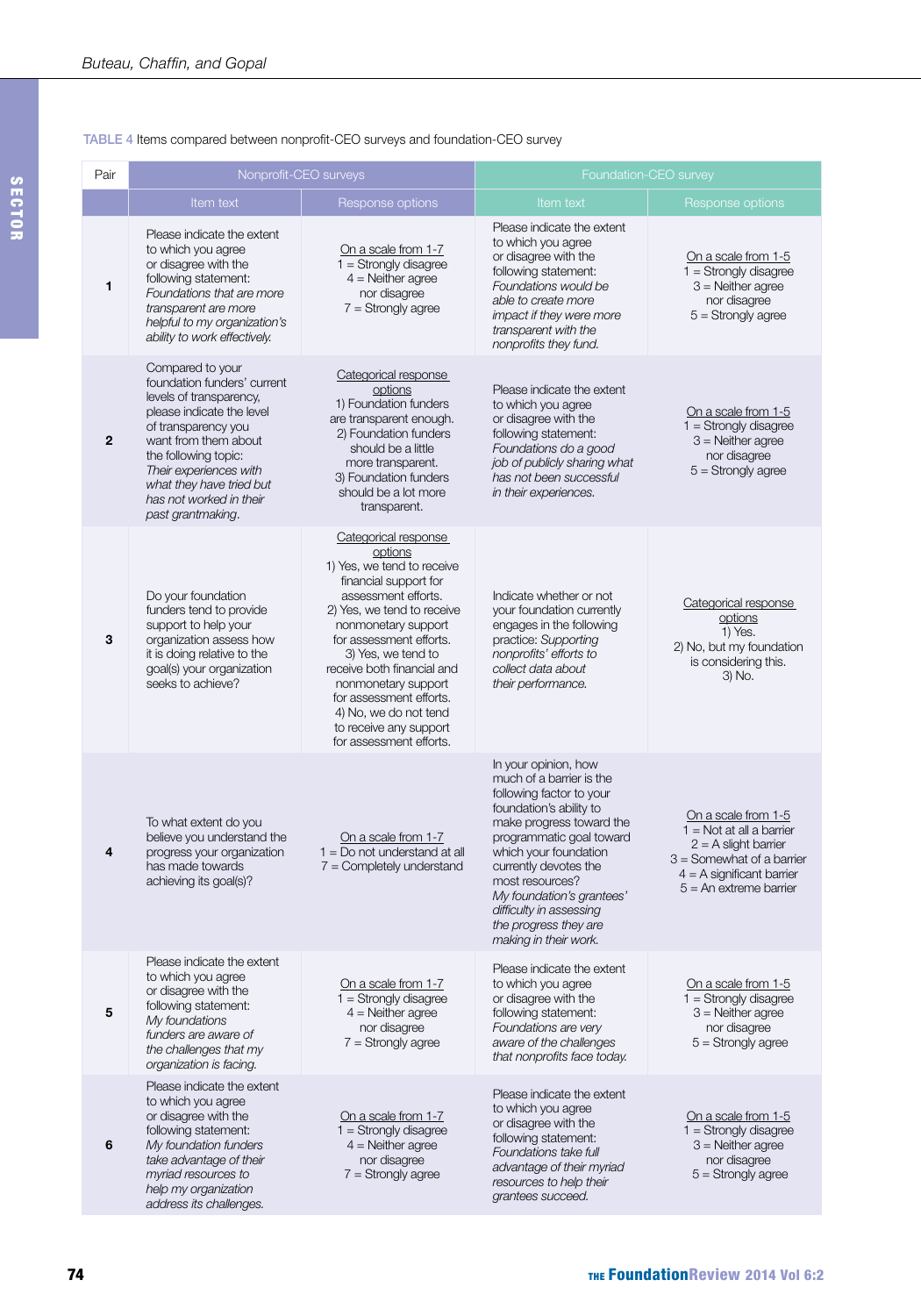#### TABLE 4 Items compared between nonprofit-CEO surveys and foundation-CEO survey

| Pair        | Nonprofit-CEO surveys                                                                                                                                                                                                                                                                |                                                                                                                                                                                                                                                                                                                                                                                   | Foundation-CEO survey                                                                                                                                                                                                                                                                                                                          |                                                                                                                                                                       |  |  |
|-------------|--------------------------------------------------------------------------------------------------------------------------------------------------------------------------------------------------------------------------------------------------------------------------------------|-----------------------------------------------------------------------------------------------------------------------------------------------------------------------------------------------------------------------------------------------------------------------------------------------------------------------------------------------------------------------------------|------------------------------------------------------------------------------------------------------------------------------------------------------------------------------------------------------------------------------------------------------------------------------------------------------------------------------------------------|-----------------------------------------------------------------------------------------------------------------------------------------------------------------------|--|--|
|             | Item text                                                                                                                                                                                                                                                                            | Response options                                                                                                                                                                                                                                                                                                                                                                  | Item text                                                                                                                                                                                                                                                                                                                                      | Response options                                                                                                                                                      |  |  |
| 1           | Please indicate the extent<br>to which you agree<br>or disagree with the<br>following statement:<br>Foundations that are more<br>transparent are more<br>helpful to my organization's<br>ability to work effectively.                                                                | On a scale from 1-7<br>$1 =$ Strongly disagree<br>$4 =$ Neither agree<br>nor disagree<br>$7 =$ Strongly agree                                                                                                                                                                                                                                                                     | Please indicate the extent<br>to which you agree<br>or disagree with the<br>following statement:<br>Foundations would be<br>able to create more<br>impact if they were more<br>transparent with the<br>nonprofits they fund.                                                                                                                   | On a scale from 1-5<br>$1 =$ Strongly disagree<br>$3$ = Neither agree<br>nor disagree<br>$5 =$ Strongly agree                                                         |  |  |
| $\mathbf 2$ | Compared to your<br>foundation funders' current<br>levels of transparency,<br>please indicate the level<br>of transparency you<br>want from them about<br>the following topic:<br>Their experiences with<br>what they have tried but<br>has not worked in their<br>past grantmaking. | Categorical response<br>options<br>1) Foundation funders<br>are transparent enough.<br>2) Foundation funders<br>should be a little<br>more transparent.<br>3) Foundation funders<br>should be a lot more<br>transparent.                                                                                                                                                          | Please indicate the extent<br>to which you agree<br>or disagree with the<br>following statement:<br>Foundations do a good<br>job of publicly sharing what<br>has not been successful<br>in their experiences.                                                                                                                                  | On a scale from 1-5<br>$1 =$ Strongly disagree<br>$3$ = Neither agree<br>nor disagree<br>$5 =$ Strongly agree                                                         |  |  |
| 3           | Do your foundation<br>funders tend to provide<br>support to help your<br>organization assess how<br>it is doing relative to the<br>goal(s) your organization<br>seeks to achieve?                                                                                                    | Categorical response<br>options<br>1) Yes, we tend to receive<br>financial support for<br>assessment efforts.<br>2) Yes, we tend to receive<br>nonmonetary support<br>for assessment efforts.<br>3) Yes, we tend to<br>receive both financial and<br>nonmonetary support<br>for assessment efforts.<br>4) No, we do not tend<br>to receive any support<br>for assessment efforts. | Indicate whether or not<br>your foundation currently<br>engages in the following<br>practice: Supporting<br>nonprofits' efforts to<br>collect data about<br>their performance.                                                                                                                                                                 | Categorical response<br>options<br>1) Yes.<br>2) No, but my foundation<br>is considering this.<br>3) No.                                                              |  |  |
| 4           | To what extent do you<br>believe you understand the<br>progress your organization<br>has made towards<br>achieving its goal(s)?                                                                                                                                                      | On a scale from 1-7<br>$1 = Do$ not understand at all<br>$7 =$ Completely understand                                                                                                                                                                                                                                                                                              | In your opinion, how<br>much of a barrier is the<br>following factor to your<br>foundation's ability to<br>make progress toward the<br>programmatic goal toward<br>which your foundation<br>currently devotes the<br>most resources?<br>My foundation's grantees'<br>difficulty in assessing<br>the progress they are<br>making in their work. | On a scale from 1-5<br>$1 = Not$ at all a barrier<br>$2 = A$ slight barrier<br>$3 =$ Somewhat of a barrier<br>$4 = A$ significant barrier<br>$5 = An$ extreme barrier |  |  |
| 5           | Please indicate the extent<br>to which you agree<br>or disagree with the<br>following statement:<br>My foundations<br>funders are aware of<br>the challenges that my<br>organization is facing.                                                                                      | On a scale from 1-7<br>$1 =$ Strongly disagree<br>$4 =$ Neither agree<br>nor disagree<br>$7 =$ Strongly agree                                                                                                                                                                                                                                                                     | Please indicate the extent<br>to which you agree<br>or disagree with the<br>following statement:<br>Foundations are very<br>aware of the challenges<br>that nonprofits face today.                                                                                                                                                             | On a scale from 1-5<br>$1 =$ Strongly disagree<br>$3$ = Neither agree<br>nor disagree<br>$5 =$ Strongly agree                                                         |  |  |
| 6           | Please indicate the extent<br>to which you agree<br>or disagree with the<br>following statement:<br>My foundation funders<br>take advantage of their<br>myriad resources to<br>help my organization<br>address its challenges.                                                       | On a scale from 1-7<br>$1 =$ Strongly disagree<br>$4 =$ Neither agree<br>nor disagree<br>$7 =$ Strongly agree                                                                                                                                                                                                                                                                     | Please indicate the extent<br>to which you agree<br>or disagree with the<br>following statement:<br>Foundations take full<br>advantage of their myriad<br>resources to help their<br>grantees succeed.                                                                                                                                         | On a scale from 1-5<br>$1 =$ Strongly disagree<br>$3$ = Neither agree<br>nor disagree<br>$5 =$ Strongly agree                                                         |  |  |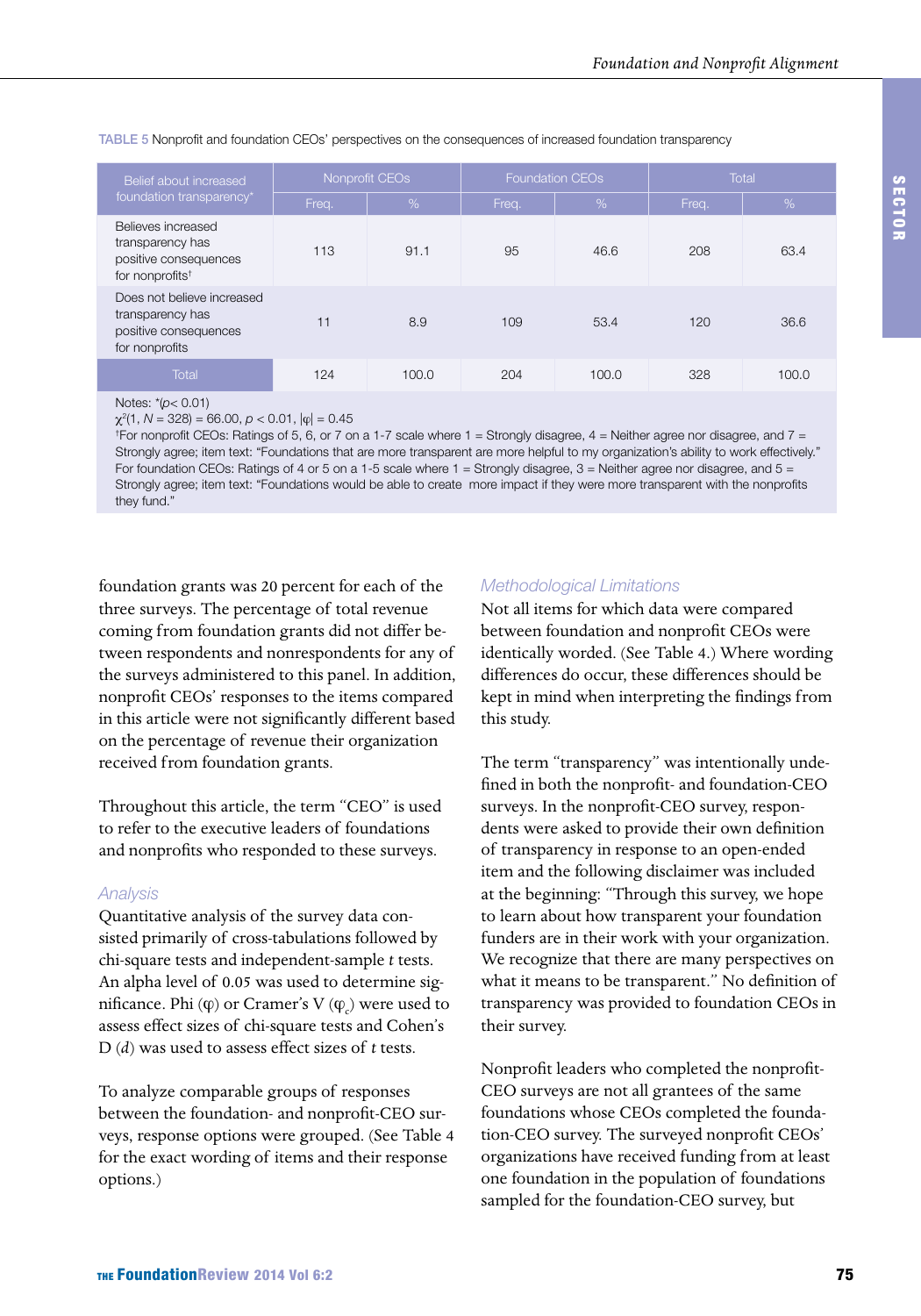| Belief about increased                                                                         | Nonprofit CEOs |       |       | <b>Foundation CEOs</b> | Total |       |
|------------------------------------------------------------------------------------------------|----------------|-------|-------|------------------------|-------|-------|
| foundation transparency*                                                                       | Freq.          | %     | Freq. | $\sqrt{2}$             | Freq. | %     |
| Believes increased<br>transparency has<br>positive consequences<br>for nonprofits <sup>t</sup> | 113            | 91.1  | 95    | 46.6                   | 208   | 63.4  |
| Does not believe increased<br>transparency has<br>positive consequences<br>for nonprofits      | 11             | 8.9   | 109   | 53.4                   | 120   | 36.6  |
| Total                                                                                          | 124            | 100.0 | 204   | 100.0                  | 328   | 100.0 |

#### TABLE 5 Nonprofit and foundation CEOs' perspectives on the consequences of increased foundation transparency

Notes: \*(*p*< 0.01)

χ2 (1, *N* = 328) = 66.00, *p* < 0.01, |ϕ| = 0.45

† For nonprofit CEOs: Ratings of 5, 6, or 7 on a 1-7 scale where 1 = Strongly disagree, 4 = Neither agree nor disagree, and 7 = Strongly agree; item text: "Foundations that are more transparent are more helpful to my organization's ability to work effectively." For foundation CEOs: Ratings of 4 or 5 on a 1-5 scale where 1 = Strongly disagree, 3 = Neither agree nor disagree, and 5 = Strongly agree; item text: "Foundations would be able to create more impact if they were more transparent with the nonprofits they fund."

foundation grants was 20 percent for each of the three surveys. The percentage of total revenue coming from foundation grants did not differ between respondents and nonrespondents for any of the surveys administered to this panel. In addition, nonprofit CEOs' responses to the items compared in this article were not significantly different based on the percentage of revenue their organization received from foundation grants.

Throughout this article, the term "CEO" is used to refer to the executive leaders of foundations and nonprofits who responded to these surveys.

#### *Analysis*

Quantitative analysis of the survey data consisted primarily of cross-tabulations followed by chi-square tests and independent-sample *t* tests. An alpha level of 0.05 was used to determine significance. Phi  $(\varphi)$  or Cramer's V  $(\phi_{c})$  were used to assess effect sizes of chi-square tests and Cohen's D (*d*) was used to assess effect sizes of *t* tests.

To analyze comparable groups of responses between the foundation- and nonprofit-CEO surveys, response options were grouped. (See Table 4 for the exact wording of items and their response options.)

#### *Methodological Limitations*

Not all items for which data were compared between foundation and nonprofit CEOs were identically worded. (See Table 4.) Where wording differences do occur, these differences should be kept in mind when interpreting the findings from this study.

The term "transparency" was intentionally undefined in both the nonprofit- and foundation-CEO surveys. In the nonprofit-CEO survey, respondents were asked to provide their own definition of transparency in response to an open-ended item and the following disclaimer was included at the beginning: "Through this survey, we hope to learn about how transparent your foundation funders are in their work with your organization. We recognize that there are many perspectives on what it means to be transparent." No definition of transparency was provided to foundation CEOs in their survey.

Nonprofit leaders who completed the nonprofit-CEO surveys are not all grantees of the same foundations whose CEOs completed the foundation-CEO survey. The surveyed nonprofit CEOs' organizations have received funding from at least one foundation in the population of foundations sampled for the foundation-CEO survey, but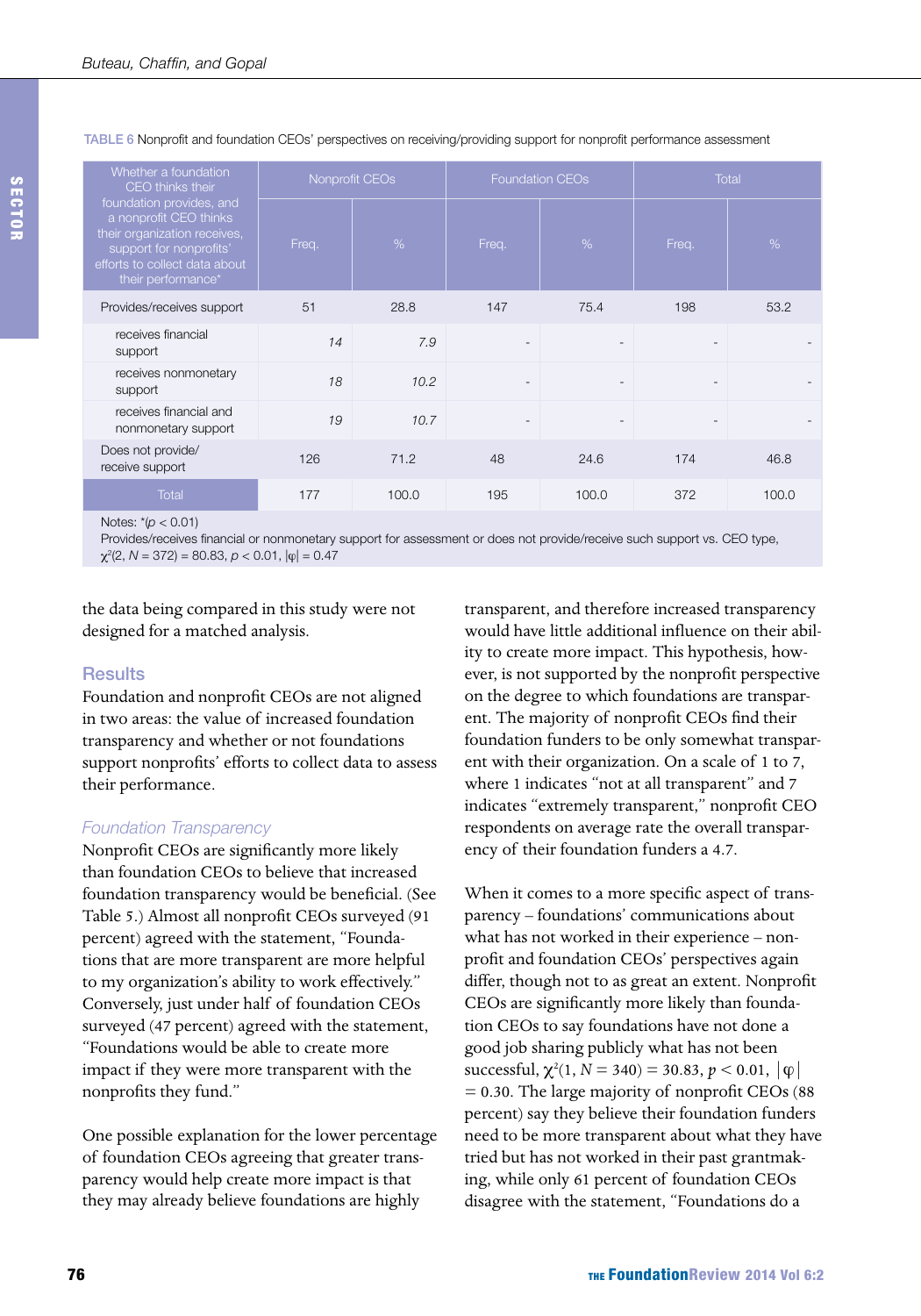| Whether a foundation<br>CEO thinks their<br>foundation provides, and<br>a nonprofit CEO thinks<br>their organization receives,<br>support for nonprofits'<br>efforts to collect data about<br>their performance* | Nonprofit CEOs |       |       | Foundation CEOs | <b>Total</b> |       |  |
|------------------------------------------------------------------------------------------------------------------------------------------------------------------------------------------------------------------|----------------|-------|-------|-----------------|--------------|-------|--|
|                                                                                                                                                                                                                  | Freq.          | %     | Freq. | %               | Freq.        | %     |  |
| Provides/receives support                                                                                                                                                                                        | 51             | 28.8  | 147   | 75.4            | 198          | 53.2  |  |
| receives financial<br>support                                                                                                                                                                                    | 14             | 7.9   |       |                 |              |       |  |
| receives nonmonetary<br>support                                                                                                                                                                                  | 18             | 10.2  |       |                 |              |       |  |
| receives financial and<br>nonmonetary support                                                                                                                                                                    | 19             | 10.7  |       |                 |              |       |  |
| Does not provide/<br>receive support                                                                                                                                                                             | 126            | 71.2  | 48    | 24.6            | 174          | 46.8  |  |
| <b>Total</b>                                                                                                                                                                                                     | 177            | 100.0 | 195   | 100.0           | 372          | 100.0 |  |

#### TABLE 6 Nonprofit and foundation CEOs' perspectives on receiving/providing support for nonprofit performance assessment

Notes: \*(*p* < 0.01)

Provides/receives financial or nonmonetary support for assessment or does not provide/receive such support vs. CEO type, χ2 (2, *N* = 372) = 80.83, *p* < 0.01, |ϕ| = 0.47

the data being compared in this study were not designed for a matched analysis.

#### **Results**

Foundation and nonprofit CEOs are not aligned in two areas: the value of increased foundation transparency and whether or not foundations support nonprofits' efforts to collect data to assess their performance.

#### *Foundation Transparency*

Nonprofit CEOs are significantly more likely than foundation CEOs to believe that increased foundation transparency would be beneficial. (See Table 5.) Almost all nonprofit CEOs surveyed (91 percent) agreed with the statement, "Foundations that are more transparent are more helpful to my organization's ability to work effectively." Conversely, just under half of foundation CEOs surveyed (47 percent) agreed with the statement, "Foundations would be able to create more impact if they were more transparent with the nonprofits they fund."

One possible explanation for the lower percentage of foundation CEOs agreeing that greater transparency would help create more impact is that they may already believe foundations are highly

transparent, and therefore increased transparency would have little additional influence on their ability to create more impact. This hypothesis, however, is not supported by the nonprofit perspective on the degree to which foundations are transparent. The majority of nonprofit CEOs find their foundation funders to be only somewhat transparent with their organization. On a scale of 1 to 7, where 1 indicates "not at all transparent" and 7 indicates "extremely transparent," nonprofit CEO respondents on average rate the overall transparency of their foundation funders a 4.7.

When it comes to a more specific aspect of transparency – foundations' communications about what has not worked in their experience – nonprofit and foundation CEOs' perspectives again differ, though not to as great an extent. Nonprofit CEOs are significantly more likely than foundation CEOs to say foundations have not done a good job sharing publicly what has not been successful,  $\chi^2(1, N = 340) = 30.83, p < 0.01, |\varphi|$ = 0.30. The large majority of nonprofit CEOs (88 percent) say they believe their foundation funders need to be more transparent about what they have tried but has not worked in their past grantmaking, while only 61 percent of foundation CEOs disagree with the statement, "Foundations do a

SECTOR

**SECTO**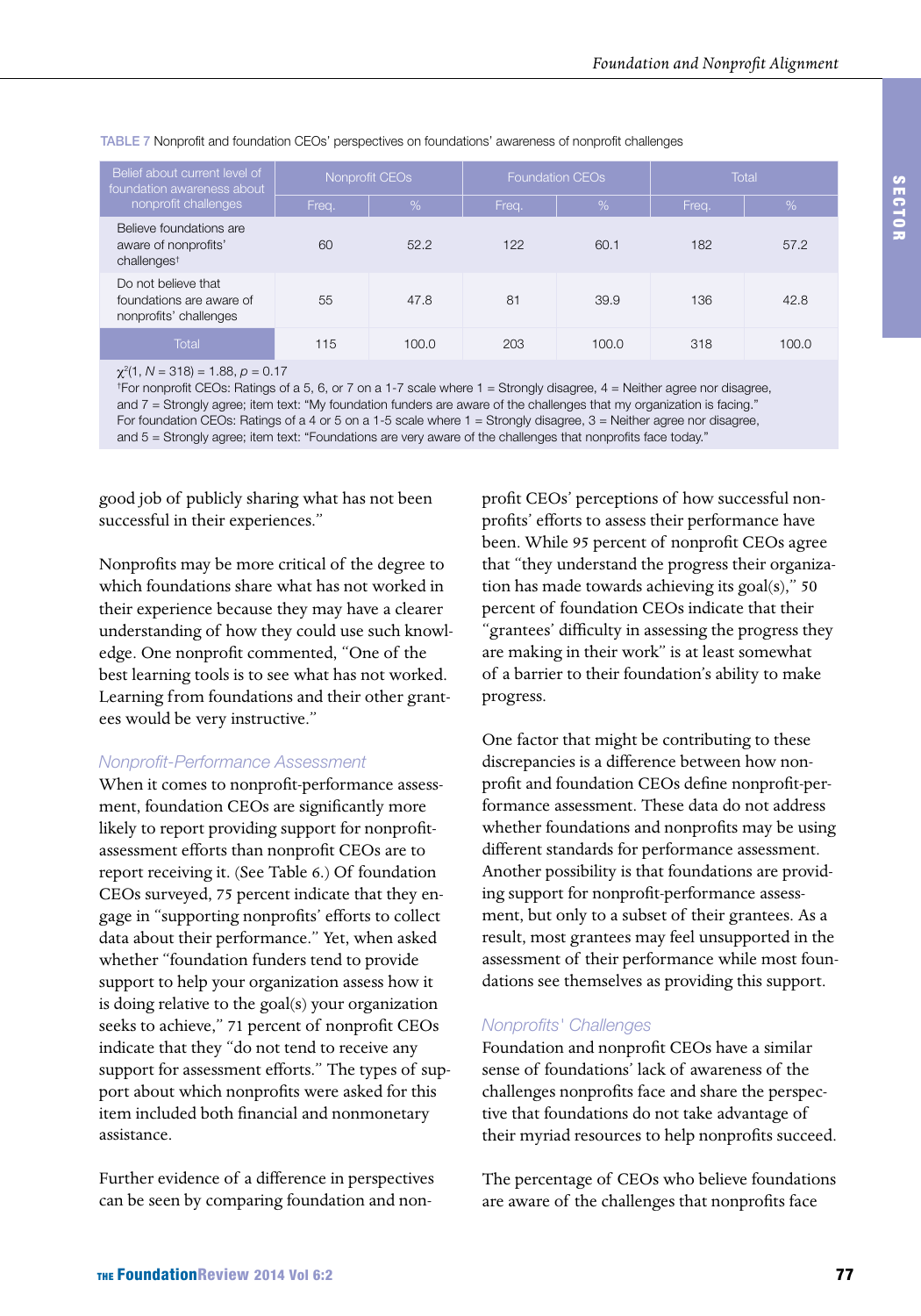| Belief about current level of<br>foundation awareness about<br>nonprofit challenges | Nonprofit CEO <sub>s</sub> |               |       | <b>Foundation CEOs</b> | Total |       |
|-------------------------------------------------------------------------------------|----------------------------|---------------|-------|------------------------|-------|-------|
|                                                                                     | Freq.                      | $\frac{9}{6}$ | Freq. | %                      | Freq. | %     |
| Believe foundations are<br>aware of nonprofits'<br>challenges <sup>t</sup>          | 60                         | 52.2          | 122   | 60.1                   | 182   | 57.2  |
| Do not believe that<br>foundations are aware of<br>nonprofits' challenges           | 55                         | 47.8          | 81    | 39.9                   | 136   | 42.8  |
| Total                                                                               | 115                        | 100.0         | 203   | 100.0                  | 318   | 100.0 |

TABLE 7 Nonprofit and foundation CEOs' perspectives on foundations' awareness of nonprofit challenges

χ2 (1, *N* = 318) = 1.88, *p* = 0.17

† For nonprofit CEOs: Ratings of a 5, 6, or 7 on a 1-7 scale where 1 = Strongly disagree, 4 = Neither agree nor disagree, and 7 = Strongly agree; item text: "My foundation funders are aware of the challenges that my organization is facing." For foundation CEOs: Ratings of a 4 or 5 on a 1-5 scale where 1 = Strongly disagree, 3 = Neither agree nor disagree, and 5 = Strongly agree; item text: "Foundations are very aware of the challenges that nonprofits face today."

good job of publicly sharing what has not been successful in their experiences."

Nonprofits may be more critical of the degree to which foundations share what has not worked in their experience because they may have a clearer understanding of how they could use such knowledge. One nonprofit commented, "One of the best learning tools is to see what has not worked. Learning from foundations and their other grantees would be very instructive."

#### *Nonprofit-Performance Assessment*

When it comes to nonprofit-performance assessment, foundation CEOs are significantly more likely to report providing support for nonprofitassessment efforts than nonprofit CEOs are to report receiving it. (See Table 6.) Of foundation CEOs surveyed, 75 percent indicate that they engage in "supporting nonprofits' efforts to collect data about their performance." Yet, when asked whether "foundation funders tend to provide support to help your organization assess how it is doing relative to the goal(s) your organization seeks to achieve," 71 percent of nonprofit CEOs indicate that they "do not tend to receive any support for assessment efforts." The types of support about which nonprofits were asked for this item included both financial and nonmonetary assistance.

Further evidence of a difference in perspectives can be seen by comparing foundation and nonprofit CEOs' perceptions of how successful nonprofits' efforts to assess their performance have been. While 95 percent of nonprofit CEOs agree that "they understand the progress their organization has made towards achieving its  $\text{goal}(s)$ ," 50 percent of foundation CEOs indicate that their "grantees' difficulty in assessing the progress they are making in their work" is at least somewhat of a barrier to their foundation's ability to make progress.

One factor that might be contributing to these discrepancies is a difference between how nonprofit and foundation CEOs define nonprofit-performance assessment. These data do not address whether foundations and nonprofits may be using different standards for performance assessment. Another possibility is that foundations are providing support for nonprofit-performance assessment, but only to a subset of their grantees. As a result, most grantees may feel unsupported in the assessment of their performance while most foundations see themselves as providing this support.

### *Nonprofits' Challenges*

Foundation and nonprofit CEOs have a similar sense of foundations' lack of awareness of the challenges nonprofits face and share the perspective that foundations do not take advantage of their myriad resources to help nonprofits succeed.

The percentage of CEOs who believe foundations are aware of the challenges that nonprofits face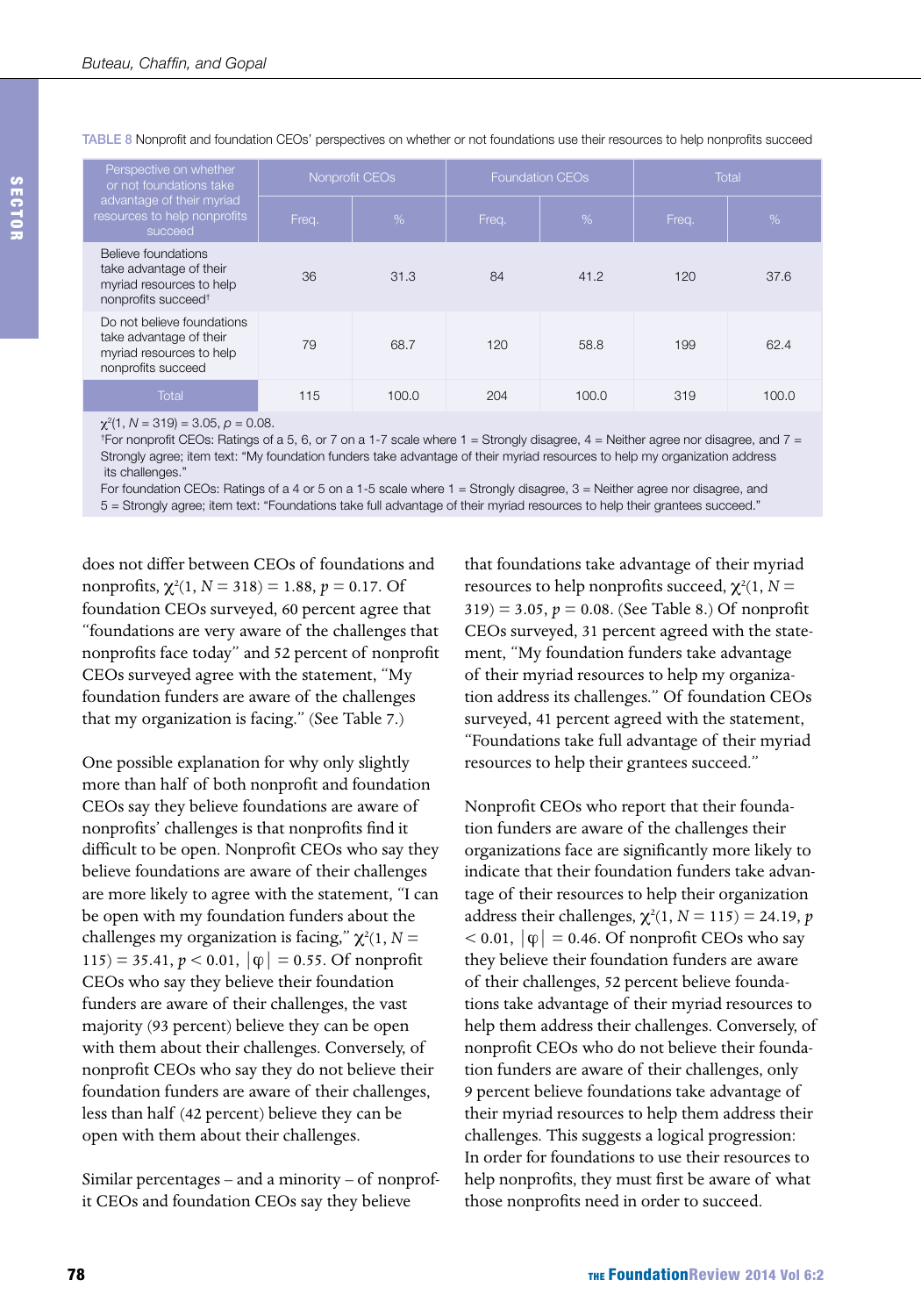| Perspective on whether<br>or not foundations take<br>advantage of their myriad<br>resources to help nonprofits<br>succeed | Nonprofit CEOs |       |       | <b>Foundation CEOs</b> | <b>Total</b> |       |
|---------------------------------------------------------------------------------------------------------------------------|----------------|-------|-------|------------------------|--------------|-------|
|                                                                                                                           | Freq.          | %     | Freq. | %                      | Freq.        | %     |
| Believe foundations<br>take advantage of their<br>myriad resources to help<br>nonprofits succeed <sup>t</sup>             | 36             | 31.3  | 84    | 41.2                   | 120          | 37.6  |
| Do not believe foundations<br>take advantage of their<br>myriad resources to help<br>nonprofits succeed                   | 79             | 68.7  | 120   | 58.8                   | 199          | 62.4  |
| Total                                                                                                                     | 115            | 100.0 | 204   | 100.0                  | 319          | 100.0 |

TABLE 8 Nonprofit and foundation CEOs' perspectives on whether or not foundations use their resources to help nonprofits succeed

χ2 (1, *N* = 319) = 3.05, *p* = 0.08.

† For nonprofit CEOs: Ratings of a 5, 6, or 7 on a 1-7 scale where 1 = Strongly disagree, 4 = Neither agree nor disagree, and 7 = Strongly agree; item text: "My foundation funders take advantage of their myriad resources to help my organization address its challenges."

For foundation CEOs: Ratings of a 4 or 5 on a 1-5 scale where 1 = Strongly disagree, 3 = Neither agree nor disagree, and

5 = Strongly agree; item text: "Foundations take full advantage of their myriad resources to help their grantees succeed."

does not differ between CEOs of foundations and nonprofits,  $\chi^2(1, N = 318) = 1.88$ ,  $p = 0.17$ . Of foundation CEOs surveyed, 60 percent agree that "foundations are very aware of the challenges that nonprofits face today" and 52 percent of nonprofit CEOs surveyed agree with the statement, "My foundation funders are aware of the challenges that my organization is facing." (See Table 7.)

One possible explanation for why only slightly more than half of both nonprofit and foundation CEOs say they believe foundations are aware of nonprofits' challenges is that nonprofits find it difficult to be open. Nonprofit CEOs who say they believe foundations are aware of their challenges are more likely to agree with the statement, "I can be open with my foundation funders about the challenges my organization is facing,"  $\chi^2(1, N =$  $115$ ) = 35.41,  $p < 0.01$ ,  $|\varphi| = 0.55$ . Of nonprofit CEOs who say they believe their foundation funders are aware of their challenges, the vast majority (93 percent) believe they can be open with them about their challenges. Conversely, of nonprofit CEOs who say they do not believe their foundation funders are aware of their challenges, less than half (42 percent) believe they can be open with them about their challenges.

Similar percentages – and a minority – of nonprofit CEOs and foundation CEOs say they believe

that foundations take advantage of their myriad resources to help nonprofits succeed,  $\chi^2(1, N =$  $319$  = 3.05,  $p = 0.08$ . (See Table 8.) Of nonprofit CEOs surveyed, 31 percent agreed with the statement, "My foundation funders take advantage of their myriad resources to help my organization address its challenges." Of foundation CEOs surveyed, 41 percent agreed with the statement, "Foundations take full advantage of their myriad resources to help their grantees succeed."

Nonprofit CEOs who report that their foundation funders are aware of the challenges their organizations face are significantly more likely to indicate that their foundation funders take advantage of their resources to help their organization address their challenges,  $\chi^2(1, N = 115) = 24.19$ , *p*  $< 0.01, |\phi| = 0.46$ . Of nonprofit CEOs who say they believe their foundation funders are aware of their challenges, 52 percent believe foundations take advantage of their myriad resources to help them address their challenges. Conversely, of nonprofit CEOs who do not believe their foundation funders are aware of their challenges, only 9 percent believe foundations take advantage of their myriad resources to help them address their challenges. This suggests a logical progression: In order for foundations to use their resources to help nonprofits, they must first be aware of what those nonprofits need in order to succeed.

SECTOR

SECTO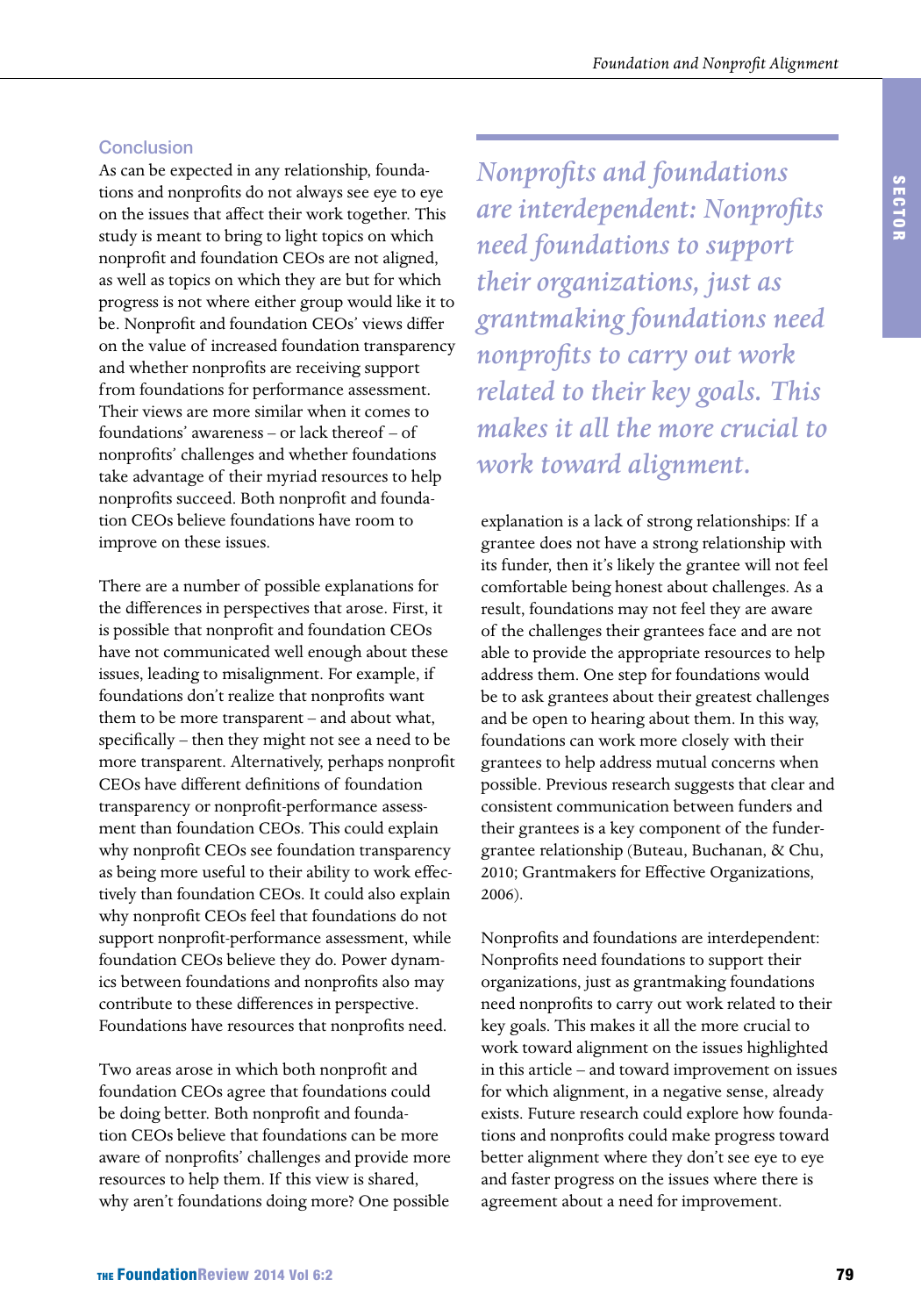#### **Conclusion**

As can be expected in any relationship, foundations and nonprofits do not always see eye to eye on the issues that affect their work together. This study is meant to bring to light topics on which nonprofit and foundation CEOs are not aligned, as well as topics on which they are but for which progress is not where either group would like it to be. Nonprofit and foundation CEOs' views differ on the value of increased foundation transparency and whether nonprofits are receiving support from foundations for performance assessment. Their views are more similar when it comes to foundations' awareness – or lack thereof – of nonprofits' challenges and whether foundations take advantage of their myriad resources to help nonprofits succeed. Both nonprofit and foundation CEOs believe foundations have room to improve on these issues.

There are a number of possible explanations for the differences in perspectives that arose. First, it is possible that nonprofit and foundation CEOs have not communicated well enough about these issues, leading to misalignment. For example, if foundations don't realize that nonprofits want them to be more transparent – and about what, specifically – then they might not see a need to be more transparent. Alternatively, perhaps nonprofit CEOs have different definitions of foundation transparency or nonprofit-performance assessment than foundation CEOs. This could explain why nonprofit CEOs see foundation transparency as being more useful to their ability to work effectively than foundation CEOs. It could also explain why nonprofit CEOs feel that foundations do not support nonprofit-performance assessment, while foundation CEOs believe they do. Power dynamics between foundations and nonprofits also may contribute to these differences in perspective. Foundations have resources that nonprofits need.

Two areas arose in which both nonprofit and foundation CEOs agree that foundations could be doing better. Both nonprofit and foundation CEOs believe that foundations can be more aware of nonprofits' challenges and provide more resources to help them. If this view is shared, why aren't foundations doing more? One possible

*Nonprofits and foundations are interdependent: Nonprofits need foundations to support their organizations, just as grantmaking foundations need nonprofits to carry out work related to their key goals. This makes it all the more crucial to work toward alignment.*

explanation is a lack of strong relationships: If a grantee does not have a strong relationship with its funder, then it's likely the grantee will not feel comfortable being honest about challenges. As a result, foundations may not feel they are aware of the challenges their grantees face and are not able to provide the appropriate resources to help address them. One step for foundations would be to ask grantees about their greatest challenges and be open to hearing about them. In this way, foundations can work more closely with their grantees to help address mutual concerns when possible. Previous research suggests that clear and consistent communication between funders and their grantees is a key component of the fundergrantee relationship (Buteau, Buchanan, & Chu, 2010; Grantmakers for Effective Organizations, 2006).

Nonprofits and foundations are interdependent: Nonprofits need foundations to support their organizations, just as grantmaking foundations need nonprofits to carry out work related to their key goals. This makes it all the more crucial to work toward alignment on the issues highlighted in this article – and toward improvement on issues for which alignment, in a negative sense, already exists. Future research could explore how foundations and nonprofits could make progress toward better alignment where they don't see eye to eye and faster progress on the issues where there is agreement about a need for improvement.